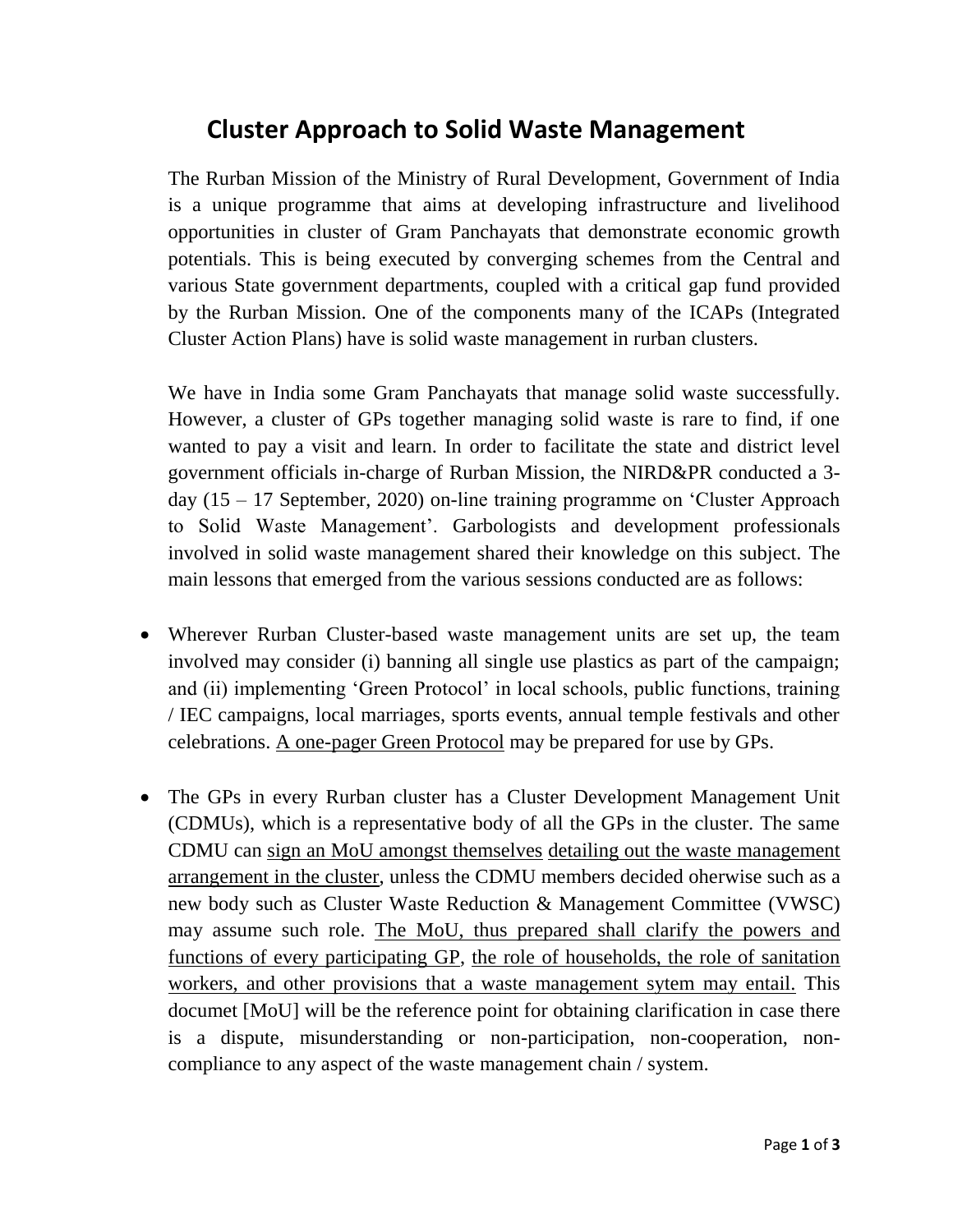## **Cluster Approach to Solid Waste Management**

The Rurban Mission of the Ministry of Rural Development, Government of India is a unique programme that aims at developing infrastructure and livelihood opportunities in cluster of Gram Panchayats that demonstrate economic growth potentials. This is being executed by converging schemes from the Central and various State government departments, coupled with a critical gap fund provided by the Rurban Mission. One of the components many of the ICAPs (Integrated Cluster Action Plans) have is solid waste management in rurban clusters.

We have in India some Gram Panchayats that manage solid waste successfully. However, a cluster of GPs together managing solid waste is rare to find, if one wanted to pay a visit and learn. In order to facilitate the state and district level government officials in-charge of Rurban Mission, the NIRD&PR conducted a 3 day (15 – 17 September, 2020) on-line training programme on 'Cluster Approach to Solid Waste Management'. Garbologists and development professionals involved in solid waste management shared their knowledge on this subject. The main lessons that emerged from the various sessions conducted are as follows:

- Wherever Rurban Cluster-based waste management units are set up, the team involved may consider (i) banning all single use plastics as part of the campaign; and (ii) implementing 'Green Protocol' in local schools, public functions, training / IEC campaigns, local marriages, sports events, annual temple festivals and other celebrations. A one-pager Green Protocol may be prepared for use by GPs.
- The GPs in every Rurban cluster has a Cluster Development Management Unit (CDMUs), which is a representative body of all the GPs in the cluster. The same CDMU can sign an MoU amongst themselves detailing out the waste management arrangement in the cluster, unless the CDMU members decided oherwise such as a new body such as Cluster Waste Reduction & Management Committee (VWSC) may assume such role. The MoU, thus prepared shall clarify the powers and functions of every participating GP, the role of households, the role of sanitation workers, and other provisions that a waste management sytem may entail. This documet [MoU] will be the reference point for obtaining clarification in case there is a dispute, misunderstanding or non-participation, non-cooperation, noncompliance to any aspect of the waste management chain / system.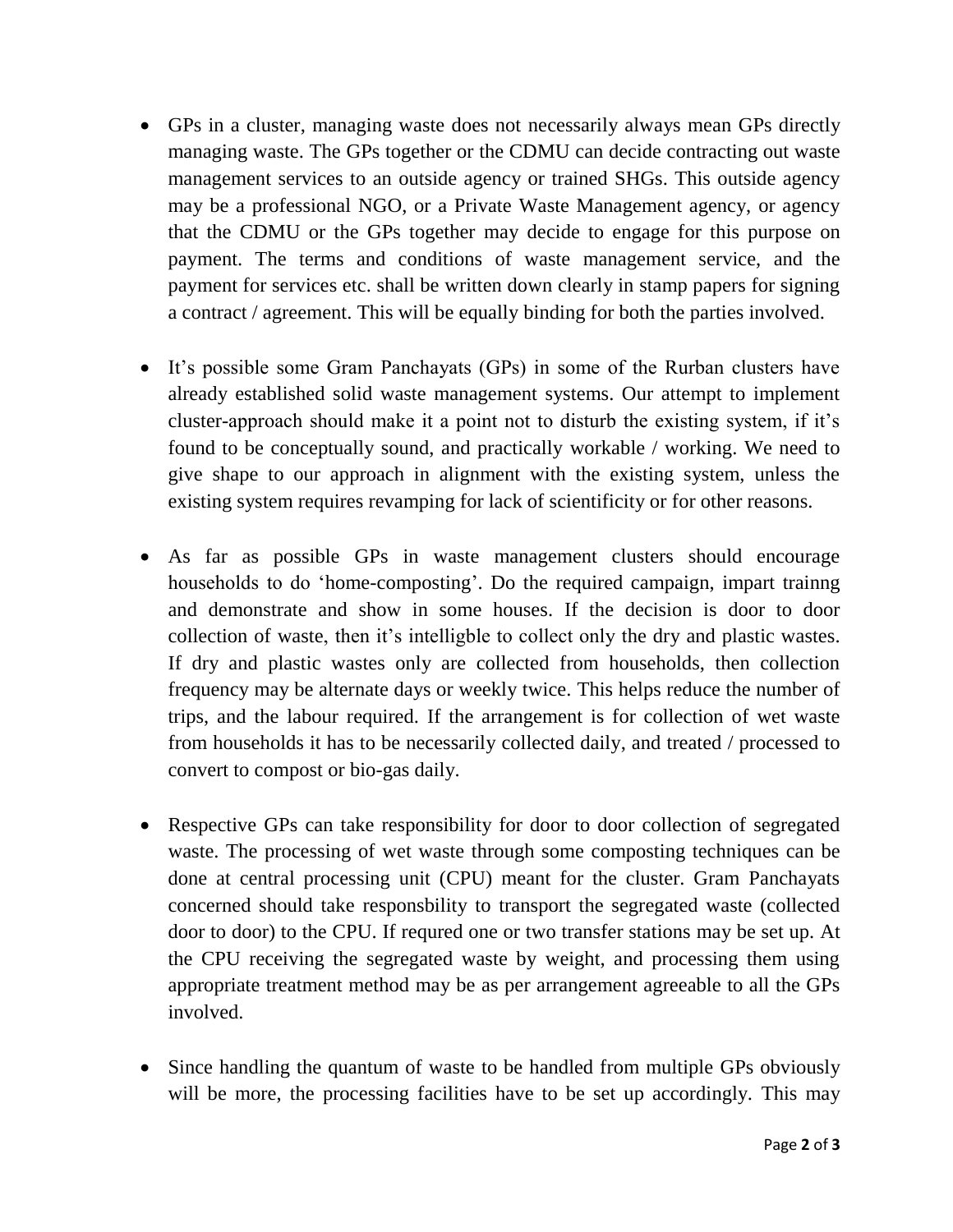- GPs in a cluster, managing waste does not necessarily always mean GPs directly managing waste. The GPs together or the CDMU can decide contracting out waste management services to an outside agency or trained SHGs. This outside agency may be a professional NGO, or a Private Waste Management agency, or agency that the CDMU or the GPs together may decide to engage for this purpose on payment. The terms and conditions of waste management service, and the payment for services etc. shall be written down clearly in stamp papers for signing a contract / agreement. This will be equally binding for both the parties involved.
- It's possible some Gram Panchayats (GPs) in some of the Rurban clusters have already established solid waste management systems. Our attempt to implement cluster-approach should make it a point not to disturb the existing system, if it's found to be conceptually sound, and practically workable / working. We need to give shape to our approach in alignment with the existing system, unless the existing system requires revamping for lack of scientificity or for other reasons.
- As far as possible GPs in waste management clusters should encourage households to do 'home-composting'. Do the required campaign, impart trainng and demonstrate and show in some houses. If the decision is door to door collection of waste, then it's intelligble to collect only the dry and plastic wastes. If dry and plastic wastes only are collected from households, then collection frequency may be alternate days or weekly twice. This helps reduce the number of trips, and the labour required. If the arrangement is for collection of wet waste from households it has to be necessarily collected daily, and treated / processed to convert to compost or bio-gas daily.
- Respective GPs can take responsibility for door to door collection of segregated waste. The processing of wet waste through some composting techniques can be done at central processing unit (CPU) meant for the cluster. Gram Panchayats concerned should take responsbility to transport the segregated waste (collected door to door) to the CPU. If requred one or two transfer stations may be set up. At the CPU receiving the segregated waste by weight, and processing them using appropriate treatment method may be as per arrangement agreeable to all the GPs involved.
- Since handling the quantum of waste to be handled from multiple GPs obviously will be more, the processing facilities have to be set up accordingly. This may